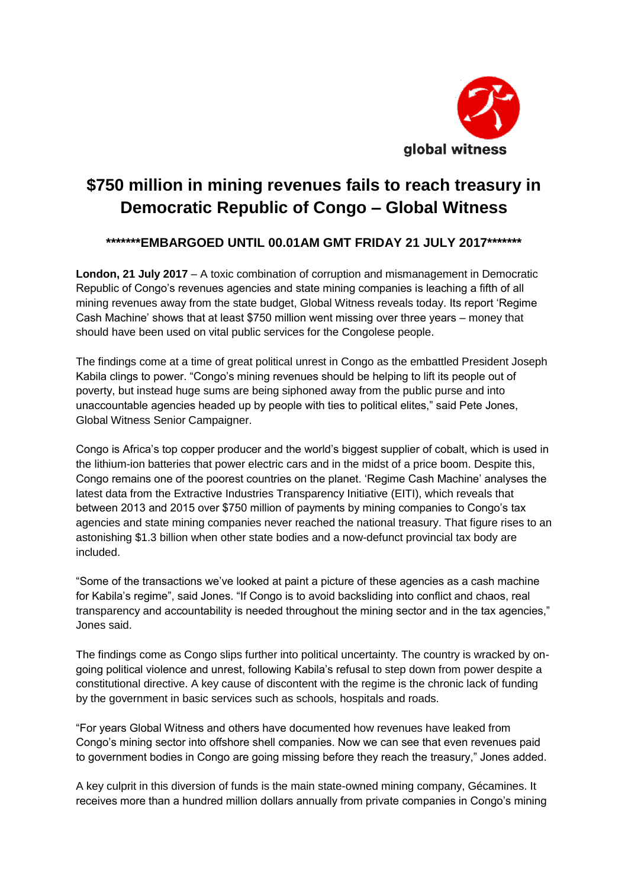

## **\$750 million in mining revenues fails to reach treasury in Democratic Republic of Congo – Global Witness**

## **\*\*\*\*\*\*\*EMBARGOED UNTIL 00.01AM GMT FRIDAY 21 JULY 2017\*\*\*\*\*\*\***

**London, 21 July 2017** – A toxic combination of corruption and mismanagement in Democratic Republic of Congo's revenues agencies and state mining companies is leaching a fifth of all mining revenues away from the state budget, Global Witness reveals today. Its report 'Regime Cash Machine' shows that at least \$750 million went missing over three years – money that should have been used on vital public services for the Congolese people.

The findings come at a time of great political unrest in Congo as the embattled President Joseph Kabila clings to power. "Congo's mining revenues should be helping to lift its people out of poverty, but instead huge sums are being siphoned away from the public purse and into unaccountable agencies headed up by people with ties to political elites," said Pete Jones, Global Witness Senior Campaigner.

Congo is Africa's top copper producer and the world's biggest supplier of cobalt, which is used in the lithium-ion batteries that power electric cars and in the midst of a price boom. Despite this, Congo remains one of the poorest countries on the planet. 'Regime Cash Machine' analyses the latest data from the Extractive Industries Transparency Initiative (EITI), which reveals that between 2013 and 2015 over \$750 million of payments by mining companies to Congo's tax agencies and state mining companies never reached the national treasury. That figure rises to an astonishing \$1.3 billion when other state bodies and a now-defunct provincial tax body are included.

"Some of the transactions we've looked at paint a picture of these agencies as a cash machine for Kabila's regime", said Jones. "If Congo is to avoid backsliding into conflict and chaos, real transparency and accountability is needed throughout the mining sector and in the tax agencies," Jones said.

The findings come as Congo slips further into political uncertainty. The country is wracked by ongoing political violence and unrest, following Kabila's refusal to step down from power despite a constitutional directive. A key cause of discontent with the regime is the chronic lack of funding by the government in basic services such as schools, hospitals and roads.

"For years Global Witness and others have documented how revenues have leaked from Congo's mining sector into offshore shell companies. Now we can see that even revenues paid to government bodies in Congo are going missing before they reach the treasury," Jones added.

A key culprit in this diversion of funds is the main state-owned mining company, Gécamines. It receives more than a hundred million dollars annually from private companies in Congo's mining